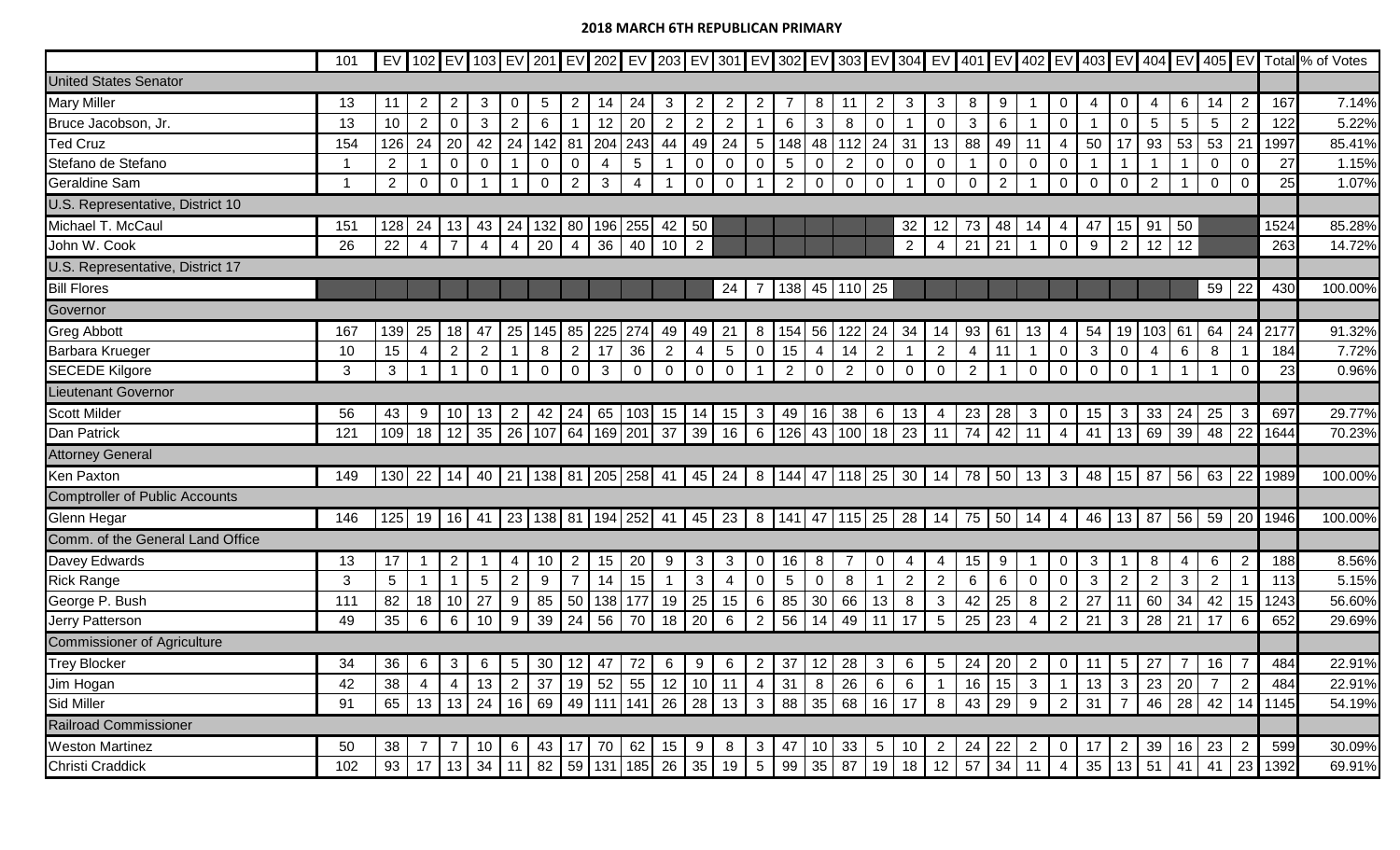|                                       | 101 |                 |                |                |                   |                 |                 |                |     |                                                                                                  |                |                |                 |                |                          |                |                         |                 |                |                   |                   |                |                |                            |                |                 |                        |       |                      |                 |      | EV 102 EV 103 EV 201 EV 202 EV 203 EV 301 EV 302 EV 303 EV 304 EV 401 EV 402 EV 403 EV 404 EV 405 EV Total % of Votes |
|---------------------------------------|-----|-----------------|----------------|----------------|-------------------|-----------------|-----------------|----------------|-----|--------------------------------------------------------------------------------------------------|----------------|----------------|-----------------|----------------|--------------------------|----------------|-------------------------|-----------------|----------------|-------------------|-------------------|----------------|----------------|----------------------------|----------------|-----------------|------------------------|-------|----------------------|-----------------|------|-----------------------------------------------------------------------------------------------------------------------|
| <b>United States Senator</b>          |     |                 |                |                |                   |                 |                 |                |     |                                                                                                  |                |                |                 |                |                          |                |                         |                 |                |                   |                   |                |                |                            |                |                 |                        |       |                      |                 |      |                                                                                                                       |
| <b>Mary Miller</b>                    | 13  | 11              | 2              | $\overline{2}$ | 3                 | $\overline{0}$  | $5\phantom{.0}$ | 2              | 14  | 24                                                                                               | 3              | $\overline{2}$ | 2               | $\overline{2}$ |                          | 8              | 11                      | 2               | 3              | 3                 | 8                 | 9              |                | 0                          | 4              | 0               | 4                      | 6     | 14                   | $\overline{2}$  | 167  | 7.14%                                                                                                                 |
| Bruce Jacobson, Jr.                   | 13  | 10              | $\overline{2}$ | $\mathbf 0$    | 3                 | 2               | 6               |                | 12  | 20                                                                                               | 2              | $\overline{2}$ | $\overline{2}$  |                | 6                        | $\mathbf{3}$   | 8                       | $\mathbf 0$     |                | $\overline{0}$    | 3                 | 6              |                | $\mathbf 0$                | $\overline{1}$ | $\mathbf 0$     | $5\phantom{.0}$        | 5     | 5                    | $\overline{2}$  | 122  | 5.22%                                                                                                                 |
| <b>Ted Cruz</b>                       | 154 | 126             | 24             | 20             | 42                | 24              | 142             | 81             | 204 | 243                                                                                              | 44             | 49             | 24              | 5 <sup>1</sup> | 148                      | 48             | 112                     | 24              | 31             | 13                | 88                | 49             | 11             | 4                          | 50             | 17              | 93                     | 53    | 53                   | 21              | 1997 | 85.41%                                                                                                                |
| Stefano de Stefano                    |     | $\overline{2}$  |                | $\mathbf 0$    | 0                 |                 | $\mathbf 0$     | $\overline{0}$ | 4   | $5\phantom{.0}$                                                                                  |                | $\mathbf 0$    | $\mathbf 0$     | $\mathbf 0$    | $\overline{5}$           | $\mathbf 0$    | $\overline{2}$          | $\overline{0}$  | $\mathbf 0$    | $\mathbf 0$       |                   | $\mathbf 0$    | $\mathbf 0$    | $\mathbf 0$                | $\overline{1}$ |                 |                        |       | $\mathbf 0$          | $\mathbf 0$     | 27   | 1.15%                                                                                                                 |
| Geraldine Sam                         |     | $\overline{2}$  | 0              | $\overline{0}$ |                   |                 | $\mathbf 0$     | $\overline{2}$ | 3   | 4                                                                                                |                | $\overline{0}$ | $\mathbf{0}$    |                | 2                        | $\mathbf 0$    | $\mathbf 0$             | $\mathbf 0$     |                | $\overline{0}$    | 0                 | $\overline{2}$ |                | 0                          | $\mathbf 0$    | $\overline{0}$  | 2                      |       | $\mathbf{0}$         | $\mathbf 0$     | 25   | 1.07%                                                                                                                 |
| U.S. Representative, District 10      |     |                 |                |                |                   |                 |                 |                |     |                                                                                                  |                |                |                 |                |                          |                |                         |                 |                |                   |                   |                |                |                            |                |                 |                        |       |                      |                 |      |                                                                                                                       |
| Michael T. McCaul                     | 151 | 128             | 24             | 13             | 43                | 24              | 132             | 80             | 196 | 255                                                                                              | 42             | 50             |                 |                |                          |                |                         |                 | 32             | 12                | 73                | 48             | 14             | 4                          | 47             | 15              | 91                     | 50    |                      |                 | 1524 | 85.28%                                                                                                                |
| John W. Cook                          | 26  | 22              | $\overline{4}$ | $\overline{7}$ | $\overline{4}$    | $\overline{4}$  | 20              | $\overline{4}$ | 36  | 40                                                                                               | 10             | $2^{\circ}$    |                 |                |                          |                |                         |                 | $\overline{2}$ | 4                 | 21                | 21             |                | $\overline{0}$             | 9              | $\overline{2}$  | 12                     | 12    |                      |                 | 263  | 14.72%                                                                                                                |
| U.S. Representative, District 17      |     |                 |                |                |                   |                 |                 |                |     |                                                                                                  |                |                |                 |                |                          |                |                         |                 |                |                   |                   |                |                |                            |                |                 |                        |       |                      |                 |      |                                                                                                                       |
| <b>Bill Flores</b>                    |     |                 |                |                |                   |                 |                 |                |     |                                                                                                  |                |                | 24              |                | 138                      | 45             | 110                     | 25              |                |                   |                   |                |                |                            |                |                 |                        |       | 59                   | 22              | 430  | 100.00%                                                                                                               |
| Governor                              |     |                 |                |                |                   |                 |                 |                |     |                                                                                                  |                |                |                 |                |                          |                |                         |                 |                |                   |                   |                |                |                            |                |                 |                        |       |                      |                 |      |                                                                                                                       |
| <b>Greg Abbott</b>                    | 167 | 139             | 25             | 18             | 47                | 25              | 145             | 85             | 225 | 274                                                                                              | 49             | 49             | 21              | 8              | 154                      | 56             | 122                     | 24              | 34             | 14                | 93                | 61             | 13             | 4                          | 54             | 19              | 103                    | 61    | 64                   | 24              | 2177 | 91.32%                                                                                                                |
| Barbara Krueger                       | 10  | 15              | 4              | $\overline{2}$ | 2                 |                 | 8               | $\overline{2}$ | 17  | 36                                                                                               | $\overline{2}$ | $\overline{4}$ | $5\phantom{.0}$ | $\mathbf 0$    | 15                       | $\overline{4}$ | 14                      | $\overline{2}$  |                | $\overline{2}$    | 4                 | 11             |                | $\mathbf 0$                | $\mathbf{3}$   | 0               | $\overline{4}$         | 6     | 8                    |                 | 184  | 7.72%                                                                                                                 |
| <b>SECEDE Kilgore</b>                 | 3   | 3               |                |                | $\Omega$          |                 | $\mathbf 0$     | $\overline{0}$ | 3   | $\overline{0}$                                                                                   | $\mathbf 0$    | $\overline{0}$ | $\mathbf 0$     |                | 2                        | $\overline{0}$ | $\overline{2}$          | $\overline{0}$  | $\overline{0}$ | $\overline{0}$    | $\overline{2}$    |                | $\mathbf 0$    | $\mathbf{0}$               | $\mathbf 0$    | $\mathbf 0$     |                        |       |                      | $\mathbf 0$     | 23   | 0.96%                                                                                                                 |
| <b>Lieutenant Governor</b>            |     |                 |                |                |                   |                 |                 |                |     |                                                                                                  |                |                |                 |                |                          |                |                         |                 |                |                   |                   |                |                |                            |                |                 |                        |       |                      |                 |      |                                                                                                                       |
| Scott Milder                          | 56  | 43              | 9              | 10             | 13                | $\overline{2}$  | 42              | 24             |     | 65   103                                                                                         |                | $15$   14      | 15              | 3 <sup>1</sup> | 49                       | 16             | 38                      | 6               | 13             | 4                 | 23                | $\sqrt{28}$    | $\mathbf{3}$   | 0                          | 15             | $\mathbf{3}$    | 33                     | 24    | 25                   | $\mathbf{3}$    | 697  | 29.77%                                                                                                                |
| Dan Patrick                           | 121 | 109             | 18             | 12             | 35                | 26              | $107$ 64        |                |     | 169 201                                                                                          | 37             | 39             | 16              | 6 <sup>1</sup> | 126                      | 43             | 100                     | 18              | 23             | 11                | 74                | 42             | 11             | 4                          | 41             | 13              | 69                     | 39    | 48                   | 22              | 1644 | 70.23%                                                                                                                |
| <b>Attorney General</b>               |     |                 |                |                |                   |                 |                 |                |     |                                                                                                  |                |                |                 |                |                          |                |                         |                 |                |                   |                   |                |                |                            |                |                 |                        |       |                      |                 |      |                                                                                                                       |
| Ken Paxton                            | 149 |                 | 130 22         |                |                   |                 |                 |                |     | 14   40   21   138   81   205   258                                                              |                | 41   45        | 24              |                |                          |                | 8   144   47   118   25 |                 |                | $30 \mid 14 \mid$ | 78 50             |                | 13             | $\overline{\phantom{a}}$ 3 | 48             | 15              | 87                     |       | $56 \mid 63 \mid 22$ |                 | 1989 | 100.00%                                                                                                               |
| <b>Comptroller of Public Accounts</b> |     |                 |                |                |                   |                 |                 |                |     |                                                                                                  |                |                |                 |                |                          |                |                         |                 |                |                   |                   |                |                |                            |                |                 |                        |       |                      |                 |      |                                                                                                                       |
| Glenn Hegar                           | 146 | 125             | 19             |                |                   |                 |                 |                |     | 16   41   23   138   81   194   252   41   45   23   8   141   47   115   25   28   14   75   50 |                |                |                 |                |                          |                |                         |                 |                |                   |                   |                | 14             | 4                          | 46             |                 | 13   87   56   59   20 |       |                      |                 | 1946 | 100.00%                                                                                                               |
| Comm. of the General Land Office      |     |                 |                |                |                   |                 |                 |                |     |                                                                                                  |                |                |                 |                |                          |                |                         |                 |                |                   |                   |                |                |                            |                |                 |                        |       |                      |                 |      |                                                                                                                       |
| Davey Edwards                         | 13  | 17              |                | $\overline{2}$ |                   | 4               | 10              | 2 <sup>1</sup> | 15  | 20                                                                                               | 9              | $\mathbf{3}$   | 3               | 0              | 16                       | 8              |                         | $\mathbf{0}$    | 4              | 4                 | 15 <sub>1</sub>   | 9              |                | 0                          | 3              |                 | 8                      | 4     | 6                    | $\overline{2}$  | 188  | 8.56%                                                                                                                 |
| <b>Rick Range</b>                     | 3   | $5\phantom{.0}$ |                |                | 5                 | 2               | 9               | $\overline{7}$ | 14  | 15                                                                                               |                | $\mathbf{3}$   | 4               | $\mathbf 0$    | $5\phantom{.0}$          | $\mathbf 0$    | 8                       | $\mathbf 1$     | $\overline{2}$ | $\overline{2}$    | 6                 | 6              | $\mathbf 0$    | $\mathbf 0$                | $\mathbf{3}$   | $\overline{2}$  | 2                      | 3     | 2                    | $\mathbf{1}$    | 113  | 5.15%                                                                                                                 |
| George P. Bush                        | 111 | 82              | 18             | 10             | 27                | 9               | 85              | 50             | 138 | 177                                                                                              |                | $19 \mid 25$   | 15              | 6 <sup>1</sup> | 85                       | 30             | 66                      | 13              | 8              | $\mathbf{3}$      | 42                | 25             | 8              | $\overline{2}$             | 27             | 11              | 60                     | 34    | 42                   | 15              | 1243 | 56.60%                                                                                                                |
| Jerry Patterson                       | 49  | 35              | 6              | 6              | 10                | 9               | 39              | 24             | 56  | 70                                                                                               |                | $18$ 20        | 6               | 2 <sup>1</sup> | 56                       | 14             | 49                      | 11              | 17             | $5\phantom{.0}$   | 25                | 23             | 4              | 2 <sup>1</sup>             | 21             | $\mathbf{3}$    | 28                     | 21    | 17                   | $6\phantom{1}6$ | 652  | 29.69%                                                                                                                |
| <b>Commissioner of Agriculture</b>    |     |                 |                |                |                   |                 |                 |                |     |                                                                                                  |                |                |                 |                |                          |                |                         |                 |                |                   |                   |                |                |                            |                |                 |                        |       |                      |                 |      |                                                                                                                       |
| <b>Trey Blocker</b>                   | 34  | 36              | 6              | $\mathbf{3}$   | 6                 | $5\overline{)}$ | 30 <sup>°</sup> | 12             | 47  | 72                                                                                               | 6 <sup>1</sup> | 9              | 6               | $2 \mid$       | 37                       | 12             | 28                      | $\mathbf{3}$    | 6              | $5\overline{)}$   | $24 \mid 20 \mid$ |                | $\overline{2}$ | $\overline{0}$             | 11             | $5\overline{)}$ | 27                     | 7     | 16                   | $\overline{7}$  | 484  | 22.91%                                                                                                                |
| Jim Hogan                             | 42  | 38              |                | 4              | 13                | $\overline{2}$  | 37              | 19             | 52  | 55                                                                                               |                | $12$ 10        | 11              |                | $4 \mid 31 \mid$         | 8              | 26                      | 6               | 6              |                   | 16                | 15             | $\mathbf{3}$   |                            | 13             | $\mathbf{3}$    | 23                     | 20    |                      | $\overline{2}$  | 484  | 22.91%                                                                                                                |
| Sid Miller                            | 91  | 65              | 13             |                | $13 \mid 24 \mid$ | 16              |                 |                |     | 69 49 111 141                                                                                    |                | 26 28          |                 |                | $13 \mid 3 \mid 88 \mid$ | 35             | 68                      |                 | $16$ 17        | 8                 |                   | $43 \mid 29$   | 9              |                            | $2 \mid 31$    |                 |                        | 46 28 | 42                   | 14              | 1145 | 54.19%                                                                                                                |
| Railroad Commissioner                 |     |                 |                |                |                   |                 |                 |                |     |                                                                                                  |                |                |                 |                |                          |                |                         |                 |                |                   |                   |                |                |                            |                |                 |                        |       |                      |                 |      |                                                                                                                       |
| <b>Weston Martinez</b>                | 50  | 38              |                |                | 10                | 6               | 43              | 17             | 70  | 62                                                                                               |                | $15 \mid 9$    | 8               | 3 <sup>1</sup> | 47                       | 10             | 33                      | $5\overline{)}$ | 10             | $\overline{2}$    | $24 \mid 22$      |                | $\overline{2}$ | 0 <sup>1</sup>             | 17             | $\overline{2}$  | 39                     | 16    | 23                   | $\overline{2}$  | 599  | 30.09%                                                                                                                |
| Christi Craddick                      | 102 | 93              | 17             |                | $13 \mid 34$      | 11              |                 |                |     | 82   59   131   185   26   35                                                                    |                |                | 19              |                | 5 99                     | 35             | 87                      | 19              |                | $18$ 12           | $57 \mid 34 \mid$ |                |                | $\overline{4}$             | 35             | 13              | 51                     | 41    | 41                   | 23              | 1392 | 69.91%                                                                                                                |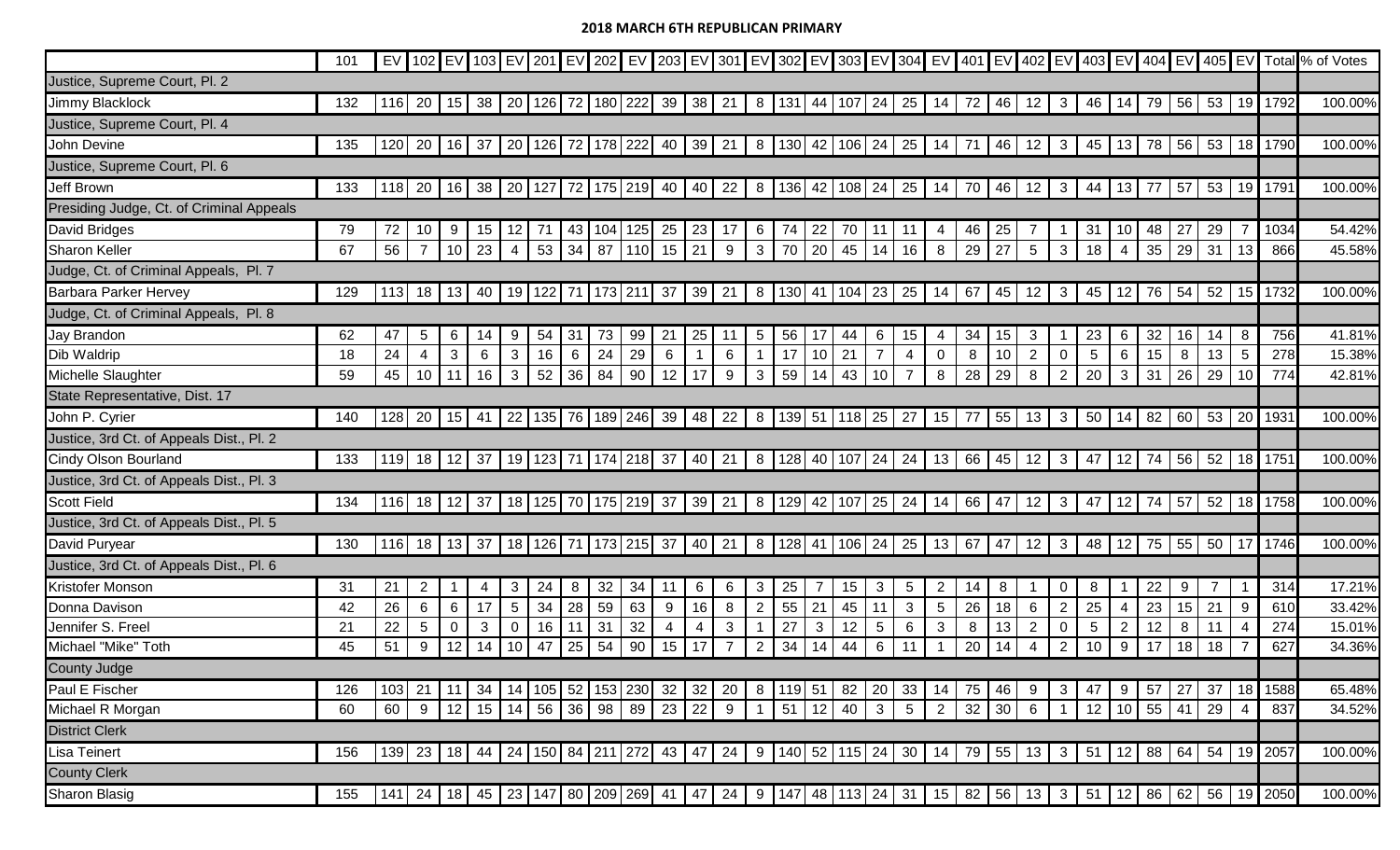|                                          | 101 |     |                 |              |    |                 |              |    |                         |                                               |              |                      |     |                |                         |              |               |                 |                 |                   |              |             |                 |                |                 |                |             |       |          |                   |                  | EV 102 EV 103 EV 201 EV 202 EV 202 EV 203 EV 301 EV 302 EV 303 EV 304 EV 401 EV 402 EV 403 EV 404 EV 404 EV 405 EV Total % of Votes |
|------------------------------------------|-----|-----|-----------------|--------------|----|-----------------|--------------|----|-------------------------|-----------------------------------------------|--------------|----------------------|-----|----------------|-------------------------|--------------|---------------|-----------------|-----------------|-------------------|--------------|-------------|-----------------|----------------|-----------------|----------------|-------------|-------|----------|-------------------|------------------|-------------------------------------------------------------------------------------------------------------------------------------|
| Justice, Supreme Court, Pl. 2            |     |     |                 |              |    |                 |              |    |                         |                                               |              |                      |     |                |                         |              |               |                 |                 |                   |              |             |                 |                |                 |                |             |       |          |                   |                  |                                                                                                                                     |
| Jimmy Blacklock                          | 132 | 116 | 20              |              |    |                 |              |    | 15 38 20 126 72 180 222 |                                               |              | $39 \mid 38 \mid 21$ |     |                | 8   131   44   107   24 |              |               |                 |                 | $25$ 14           | 72           | 46          | 12              | 3 I            | 46              | -14            | 79          |       |          |                   | 56 53 19 1792    | 100.00%                                                                                                                             |
| Justice, Supreme Court, Pl. 4            |     |     |                 |              |    |                 |              |    |                         |                                               |              |                      |     |                |                         |              |               |                 |                 |                   |              |             |                 |                |                 |                |             |       |          |                   |                  |                                                                                                                                     |
| John Devine                              | 135 | 120 | 20              | $16$ 37      |    | 20              |              |    | 126 72 178 222          |                                               |              | 40 39                | 21  |                | 8   130                 |              | 42 106 24     |                 |                 | $25$ 14           | 71           | 46          | 12              | 3 <sup>1</sup> | 45              | 13             | 78 56 53 18 |       |          |                   | 1790             | 100.00%                                                                                                                             |
| Justice, Supreme Court, Pl. 6            |     |     |                 |              |    |                 |              |    |                         |                                               |              |                      |     |                |                         |              |               |                 |                 |                   |              |             |                 |                |                 |                |             |       |          |                   |                  |                                                                                                                                     |
| <b>Jeff Brown</b>                        | 133 |     | 118 20          |              |    |                 |              |    |                         | 16   38   20   127   72   175   219   40   40 |              |                      | 22  |                | 8   136                 |              | 42 108 24     |                 |                 | $25 \, 14$        | 70           | 46          | 12              | 3 <sup>1</sup> | 44              | 13             | 77          | 57    |          |                   | 53 19 1791       | 100.00%                                                                                                                             |
| Presiding Judge, Ct. of Criminal Appeals |     |     |                 |              |    |                 |              |    |                         |                                               |              |                      |     |                |                         |              |               |                 |                 |                   |              |             |                 |                |                 |                |             |       |          |                   |                  |                                                                                                                                     |
| David Bridges                            | 79  | 72  | 10              | 9            | 15 | 12              |              | 43 | 104 125                 |                                               | 25   23      |                      | -17 |                | $6 \mid 74$             | 22           | 70            | -11             | -11             | 4                 | 46           | 25          |                 |                | 31              | 10             | 48          | 27    | 29       |                   | 1034             | 54.42%                                                                                                                              |
| <b>Sharon Keller</b>                     | 67  | 56  |                 | $10 \mid 23$ |    | 4               | $53 \mid 34$ |    | 87                      | 110                                           | $15 \mid 21$ |                      | 9   |                | $3 \mid 70$             | 20           | 45            | 14              | 16              | 8                 | 29           | $\sqrt{27}$ | $5\phantom{.0}$ | 3 <sup>1</sup> | 18              | $\overline{4}$ | 35          | 29    | 31       | 13                | 866              | 45.58%                                                                                                                              |
| Judge, Ct. of Criminal Appeals, Pl. 7    |     |     |                 |              |    |                 |              |    |                         |                                               |              |                      |     |                |                         |              |               |                 |                 |                   |              |             |                 |                |                 |                |             |       |          |                   |                  |                                                                                                                                     |
| <b>Barbara Parker Hervey</b>             | 129 | 113 | 18              | 13           | 40 | 19              |              |    | 122   71   173   211    |                                               | -37          | 39                   | 21  |                | 8   130                 | 41           | 104           | 23              | 25              | 14                | 67           | 45          | 12              | $\mathbf{3}$   | 45              | 12             | 76          | 54    |          | $52 \mid 15 \mid$ | 1732             | 100.00%                                                                                                                             |
| Judge, Ct. of Criminal Appeals, Pl. 8    |     |     |                 |              |    |                 |              |    |                         |                                               |              |                      |     |                |                         |              |               |                 |                 |                   |              |             |                 |                |                 |                |             |       |          |                   |                  |                                                                                                                                     |
| <b>Jay Brandon</b>                       | 62  | 47  | 5               | 6            | 14 | 9               | 54           | 31 | 73                      | 99                                            | 21           | $\sqrt{25}$          | 11  | 5 <sup>5</sup> | 56                      | 17           | 44            | 6               | 15              | 4                 | 34           | 15          | 3               |                | 23              | 6              | 32          | 16    | 14       | 8                 | 756              | 41.81%                                                                                                                              |
| Dib Waldrip                              | 18  | 24  | 4               | $\mathbf{3}$ | 6  | $\mathbf{3}$    | 16           | 6  | 24                      | 29                                            | 6            |                      | 6   |                | 17                      | 10           | 21            | $\overline{7}$  | 4               | $\overline{0}$    | 8            | 10          | $\overline{2}$  | 0              | $5\phantom{.0}$ | 6              | 15          | 8     | 13       | $5\overline{)}$   | 278              | 15.38%                                                                                                                              |
| Michelle Slaughter                       | 59  | 45  | 10 <sup>°</sup> | 11           | 16 | $\mathbf{3}$    | 52           | 36 | 84                      | 90                                            |              | $12$   17            | 9   | 3 <sup>1</sup> | 59                      | 14           | 43            | 10              | $\overline{7}$  | 8                 | 28           | 29          | 8               | $\overline{2}$ | 20              | $\mathbf{3}$   | 31          | 26    | 29       | 10                | 774              | 42.81%                                                                                                                              |
| State Representative, Dist. 17           |     |     |                 |              |    |                 |              |    |                         |                                               |              |                      |     |                |                         |              |               |                 |                 |                   |              |             |                 |                |                 |                |             |       |          |                   |                  |                                                                                                                                     |
| John P. Cyrier                           | 140 |     | $128$ 20        | $15$ 41      |    | 22              |              |    |                         | 135   76   189   246   39   48                |              |                      | 22  |                | 8   139   51   118   25 |              |               |                 | 27              | 15                | 77           | 55          | 13              | 3              | 50              | 14             | 82 60       |       | $53$ 20  |                   | 1931             | 100.00%                                                                                                                             |
| Justice, 3rd Ct. of Appeals Dist., Pl. 2 |     |     |                 |              |    |                 |              |    |                         |                                               |              |                      |     |                |                         |              |               |                 |                 |                   |              |             |                 |                |                 |                |             |       |          |                   |                  |                                                                                                                                     |
| <b>Cindy Olson Bourland</b>              | 133 | 119 | 18              | $12 \mid 37$ |    | 19              |              |    |                         | 123   71   174   218   37   40                |              |                      | 21  |                | 8   128                 | 40           | $107$ 24      |                 | 24              | 13                | 66 45        |             | 12              | 3 <sup>1</sup> | 47              | 12             | 74 56       |       | 52       |                   | 18 1751          | 100.00%                                                                                                                             |
| Justice, 3rd Ct. of Appeals Dist., Pl. 3 |     |     |                 |              |    |                 |              |    |                         |                                               |              |                      |     |                |                         |              |               |                 |                 |                   |              |             |                 |                |                 |                |             |       |          |                   |                  |                                                                                                                                     |
| <b>Scott Field</b>                       | 134 | 116 | 18              | $12 \mid 37$ |    |                 |              |    |                         | 18   125   70   175   219   37   39           |              |                      | 21  |                | 8   129                 |              | 42   107   25 |                 | 24              | 14                | 66 47        |             | 12              | 3 <sup>1</sup> | 47              | 12             | 74 57       |       | 52       | 18                | 1758             | 100.00%                                                                                                                             |
| Justice, 3rd Ct. of Appeals Dist., Pl. 5 |     |     |                 |              |    |                 |              |    |                         |                                               |              |                      |     |                |                         |              |               |                 |                 |                   |              |             |                 |                |                 |                |             |       |          |                   |                  |                                                                                                                                     |
| David Puryear                            | 130 | 116 | 18              | $13 \mid 37$ |    |                 |              |    |                         | 18   126   71   173   215                     |              | 37   40   21         |     |                | 8   128   41            |              | $106$ 24      |                 |                 | $25$ 13           | 67   47      |             | 12              | 3              | 48              | 12             | 75          |       | 55 50 17 |                   | 1746             | 100.00%                                                                                                                             |
| Justice, 3rd Ct. of Appeals Dist., Pl. 6 |     |     |                 |              |    |                 |              |    |                         |                                               |              |                      |     |                |                         |              |               |                 |                 |                   |              |             |                 |                |                 |                |             |       |          |                   |                  |                                                                                                                                     |
| Kristofer Monson                         | 31  | 21  | $\overline{2}$  |              | 4  | 3               | 24           | -8 | 32                      | 34                                            |              | 6                    | 6   | 3              | 25                      | -7           | 15            | 3               | $5\phantom{.0}$ | $\overline{2}$    | 14           | -8          |                 | 0              | 8               |                | 22          |       |          |                   | 314              | 17.21%                                                                                                                              |
| Donna Davison                            | 42  | 26  | 6               | 6            | 17 | $5\phantom{.0}$ | 34           | 28 | 59                      | 63                                            | 9            | 16                   | 8   | $\overline{2}$ | 55                      | 21           | 45            | 11              | $\mathbf{3}$    | $5\phantom{.0}$   | 26           | 18          | 6               | 2              | 25              |                | 23          | 15    | 21       | 9                 | 610              | 33.42%                                                                                                                              |
| Jennifer S. Freel                        | 21  | 22  | 5               | 0            | 3  | $\overline{0}$  | 16           | 11 | 31                      | 32                                            | 4            | $\overline{4}$       | 3   |                | 27                      | $\mathbf{3}$ | 12            | 5               | 6               | 3                 | 8            | 13          | 2               | 0              | 5               | 2              | 12          | 8     | 11       |                   | 274              | 15.01%                                                                                                                              |
| Michael "Mike" Toth                      | 45  | 51  | 9               | 12           | 14 | 10              | 47           | 25 | 54                      | 90                                            | $15$ 17      |                      |     | $\overline{2}$ | 34                      | 14           | 44            | $6\overline{6}$ | 11              |                   | 20           | 14          | $\overline{4}$  | $2^{\circ}$    | 10              | 9              | 17          | 18    | 18       |                   | 627              | 34.36%                                                                                                                              |
| County Judge                             |     |     |                 |              |    |                 |              |    |                         |                                               |              |                      |     |                |                         |              |               |                 |                 |                   |              |             |                 |                |                 |                |             |       |          |                   |                  |                                                                                                                                     |
| Paul E Fischer                           | 126 | 103 | 21              | 11           | 34 | 14              | 105          | 52 | 153                     | 230                                           | 32           | 32                   | 20  |                | 8 119                   | 51           | 82            | 20              | 33              | 14                | 75           | 46          | 9               | $\mathbf{3}$   | 47              | 9              | 57          | 27    | 37       | 18                | 1588             | 65.48%                                                                                                                              |
| Michael R Morgan                         | 60  | 60  | 9               | 12           | 15 | 14              | 56           | 36 | 98                      | 89                                            | $23 \mid 22$ |                      | 9   |                | 51                      | 12           | 40            | $\mathbf{3}$    | $5\phantom{.0}$ | 2                 | $32 \mid 30$ |             | 6               |                | 12              | 10             | 55          | 41    | 29       | $\overline{4}$    | 837              | 34.52%                                                                                                                              |
| <b>District Clerk</b>                    |     |     |                 |              |    |                 |              |    |                         |                                               |              |                      |     |                |                         |              |               |                 |                 |                   |              |             |                 |                |                 |                |             |       |          |                   |                  |                                                                                                                                     |
| Lisa Teinert                             | 156 | 139 | 23              | 18           | 44 | 24              |              |    | 150 84 211 272          |                                               |              | 43 47                | 24  |                | 9 140                   |              | $52$ 115 24   |                 |                 | $30 \mid 14 \mid$ | 79 55        |             | 13              |                | $3 \mid 51$     | 12             |             | 88 64 | 54 19    |                   | 2057             | 100.00%                                                                                                                             |
| <b>County Clerk</b>                      |     |     |                 |              |    |                 |              |    |                         |                                               |              |                      |     |                |                         |              |               |                 |                 |                   |              |             |                 |                |                 |                |             |       |          |                   |                  |                                                                                                                                     |
| <b>Sharon Blasig</b>                     | 155 | 141 | 24              | 18           |    | 45 23           |              |    |                         | 147 80 209 269                                | 41           | 47                   | 24  |                | 9 147                   |              | 48 113 24     |                 | 31              | 15                |              | 82   56     | 13              |                | $3 \mid 51$     | 12             |             |       |          |                   | 86 62 56 19 2050 | 100.00%                                                                                                                             |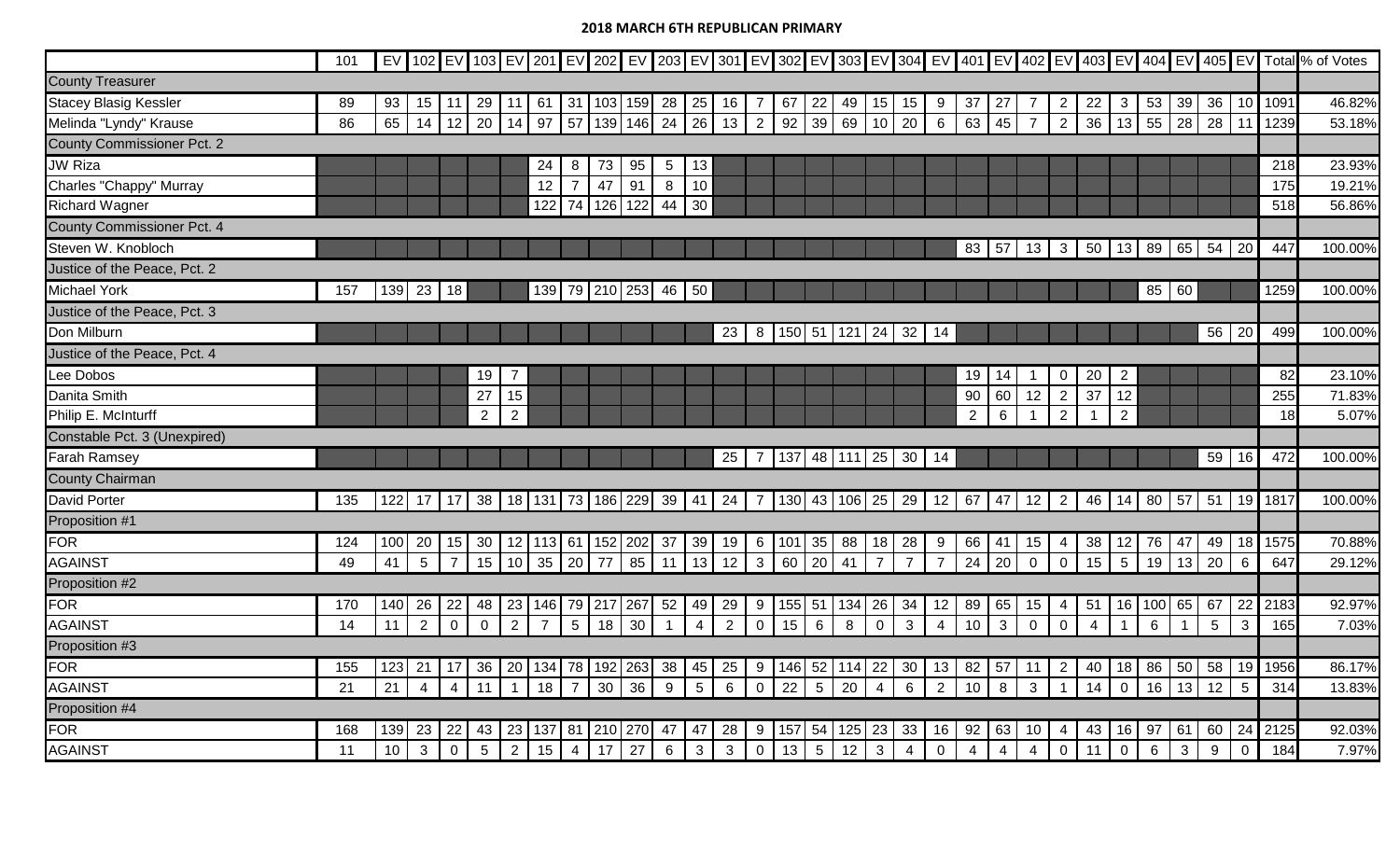|                                   | 101 |     |                 |                |                 |                |             |                 |     |                           |                 |                   |                 |                |                 |                 |                         |                |                |                |                |                 |                |                |                |                  |                 |                |                 |                      |      | EV 102 EV 103 EV 201 EV 202 EV 203 EV 301 EV 302 EV 302 EV 303 EV 304 EV 401 EV 402 EV 403 EV 404 EV 405 EV Total % of Votes |
|-----------------------------------|-----|-----|-----------------|----------------|-----------------|----------------|-------------|-----------------|-----|---------------------------|-----------------|-------------------|-----------------|----------------|-----------------|-----------------|-------------------------|----------------|----------------|----------------|----------------|-----------------|----------------|----------------|----------------|------------------|-----------------|----------------|-----------------|----------------------|------|------------------------------------------------------------------------------------------------------------------------------|
| <b>County Treasurer</b>           |     |     |                 |                |                 |                |             |                 |     |                           |                 |                   |                 |                |                 |                 |                         |                |                |                |                |                 |                |                |                |                  |                 |                |                 |                      |      |                                                                                                                              |
| <b>Stacey Blasig Kessler</b>      | 89  | 93  | 15              | -11            | 29              | 11             |             | $61$ 31         |     | 103 159                   |                 | 28 25             | 16              | -7             | 67              | 22              | 49                      | 15             | 15             | 9              | 37             | 27              | 7              | $\overline{2}$ | 22             | 3                | 53              | 39             | 36              | 10                   | 1091 | 46.82%                                                                                                                       |
| Melinda "Lyndy" Krause            | 86  | 65  | 14              | $12$ 20        |                 | 14             | 97          | 57              | 139 | 146                       | 24              | 26                | 13              | $\overline{2}$ | 92              | 39              | 69                      | 10             | 20             | 6              | 63             | 45              | $\overline{7}$ | $\overline{2}$ | 36             | 13               | 55              | 28             | 28              | 11                   | 1239 | 53.18%                                                                                                                       |
| <b>County Commissioner Pct. 2</b> |     |     |                 |                |                 |                |             |                 |     |                           |                 |                   |                 |                |                 |                 |                         |                |                |                |                |                 |                |                |                |                  |                 |                |                 |                      |      |                                                                                                                              |
| <b>JW Riza</b>                    |     |     |                 |                |                 |                | 24          | 8               | 73  | 95                        | $5\phantom{.0}$ | 13                |                 |                |                 |                 |                         |                |                |                |                |                 |                |                |                |                  |                 |                |                 |                      | 218  | 23.93%                                                                                                                       |
| Charles "Chappy" Murray           |     |     |                 |                |                 |                | 12          | $\overline{7}$  | 47  | 91                        | 8               | 10                |                 |                |                 |                 |                         |                |                |                |                |                 |                |                |                |                  |                 |                |                 |                      | 175  | 19.21%                                                                                                                       |
| <b>Richard Wagner</b>             |     |     |                 |                |                 |                | 122         | 74              | 126 | 122                       | 44              | 30                |                 |                |                 |                 |                         |                |                |                |                |                 |                |                |                |                  |                 |                |                 |                      | 518  | 56.86%                                                                                                                       |
| <b>County Commissioner Pct. 4</b> |     |     |                 |                |                 |                |             |                 |     |                           |                 |                   |                 |                |                 |                 |                         |                |                |                |                |                 |                |                |                |                  |                 |                |                 |                      |      |                                                                                                                              |
| Steven W. Knobloch                |     |     |                 |                |                 |                |             |                 |     |                           |                 |                   |                 |                |                 |                 |                         |                |                |                | 83             | 57              | 13             | $\mathbf{3}$   | 50             | 13               | 89              |                | 65 54 20        |                      | 447  | 100.00%                                                                                                                      |
| Justice of the Peace, Pct. 2      |     |     |                 |                |                 |                |             |                 |     |                           |                 |                   |                 |                |                 |                 |                         |                |                |                |                |                 |                |                |                |                  |                 |                |                 |                      |      |                                                                                                                              |
| <b>Michael York</b>               | 157 | 139 | 23              | 18             |                 |                |             |                 |     | 139 79 210 253 46 50      |                 |                   |                 |                |                 |                 |                         |                |                |                |                |                 |                |                |                |                  | 85              | 60             |                 |                      | 1259 | 100.00%                                                                                                                      |
| Justice of the Peace, Pct. 3      |     |     |                 |                |                 |                |             |                 |     |                           |                 |                   |                 |                |                 |                 |                         |                |                |                |                |                 |                |                |                |                  |                 |                |                 |                      |      |                                                                                                                              |
| Don Milburn                       |     |     |                 |                |                 |                |             |                 |     |                           |                 |                   | 23              |                |                 |                 | 8   150   51   121   24 |                | 32             | 14             |                |                 |                |                |                |                  |                 |                |                 | $\overline{56}$   20 | 499  | 100.00%                                                                                                                      |
| Justice of the Peace, Pct. 4      |     |     |                 |                |                 |                |             |                 |     |                           |                 |                   |                 |                |                 |                 |                         |                |                |                |                |                 |                |                |                |                  |                 |                |                 |                      |      |                                                                                                                              |
| ee Dobos                          |     |     |                 |                | 19              | 7              |             |                 |     |                           |                 |                   |                 |                |                 |                 |                         |                |                |                | 19             | 14              |                | $\overline{0}$ | 20             | $\overline{2}$   |                 |                |                 |                      | 82   | 23.10%                                                                                                                       |
| Danita Smith                      |     |     |                 |                | 27              | 15             |             |                 |     |                           |                 |                   |                 |                |                 |                 |                         |                |                |                | 90             | 60              | 12             | $\overline{2}$ | 37             | 12               |                 |                |                 |                      | 255  | 71.83%                                                                                                                       |
| Philip E. McInturff               |     |     |                 |                | 2               | $\overline{2}$ |             |                 |     |                           |                 |                   |                 |                |                 |                 |                         |                |                |                | $\overline{2}$ | $6\phantom{1}6$ |                | $\overline{2}$ | $\overline{1}$ | $\overline{2}$   |                 |                |                 |                      | 18   | 5.07%                                                                                                                        |
| Constable Pct. 3 (Unexpired)      |     |     |                 |                |                 |                |             |                 |     |                           |                 |                   |                 |                |                 |                 |                         |                |                |                |                |                 |                |                |                |                  |                 |                |                 |                      |      |                                                                                                                              |
| <b>Farah Ramsey</b>               |     |     |                 |                |                 |                |             |                 |     |                           |                 |                   | 25              |                | 137             |                 | 48 111 25               |                | 30             | 14             |                |                 |                |                |                |                  |                 |                | 59              | 16                   | 472  | 100.00%                                                                                                                      |
| <b>County Chairman</b>            |     |     |                 |                |                 |                |             |                 |     |                           |                 |                   |                 |                |                 |                 |                         |                |                |                |                |                 |                |                |                |                  |                 |                |                 |                      |      |                                                                                                                              |
| <b>David Porter</b>               | 135 | 122 | 17              | $17$ 38        |                 |                |             |                 |     | 18   131   73   186   229 |                 | $39 \mid 41 \mid$ | 24              | 7 <sup>1</sup> |                 |                 | 130 43 106 25 29        |                |                | 12             |                | $67$ 47         | 12             | $\overline{2}$ | 46             | 14               | 80              |                | 57 51 19        |                      | 1817 | 100.00%                                                                                                                      |
| Proposition #1                    |     |     |                 |                |                 |                |             |                 |     |                           |                 |                   |                 |                |                 |                 |                         |                |                |                |                |                 |                |                |                |                  |                 |                |                 |                      |      |                                                                                                                              |
| FOR                               | 124 | 100 | 20              | 15             | 30              | 12             | 113 61      |                 |     | 152 202                   |                 | $37 \mid 39$      | 19              | $6 \cdot$      | 101             | 35              | 88                      | 18             | 28             | 9              | 66             | 41              | 15             | $\overline{4}$ | 38             | 12               | 76              | 47             | 49              | 18                   | 1575 | 70.88%                                                                                                                       |
| <b>AGAINST</b>                    | 49  | 41  | $5\phantom{.0}$ | $\overline{7}$ | 15              | 10             | 35          | 20              | 77  | 85                        | 11              | 13                | 12              | $\mathbf{3}$   | 60              | 20              | 41                      | $\overline{7}$ | $\overline{7}$ | $\overline{7}$ | 24             | 20              | $\mathbf 0$    | $\mathbf 0$    | 15             | $5\phantom{.0}$  | 19              | 13             | 20              | 6                    | 647  | 29.12%                                                                                                                       |
| Proposition #2                    |     |     |                 |                |                 |                |             |                 |     |                           |                 |                   |                 |                |                 |                 |                         |                |                |                |                |                 |                |                |                |                  |                 |                |                 |                      |      |                                                                                                                              |
| FOR                               | 170 | 140 | 26              | 22             | 48              | 23             | 146         | 79              | 217 | 267                       | 52              | 49                | 29              | 9              | 155             | 51              | 134                     | 26             | 34             | 12             | 89             | 65              | 15             | $\overline{4}$ | 51             | 16               | 100             | 65             | 67              | 22                   | 2183 | 92.97%                                                                                                                       |
| <b>AGAINST</b>                    | 14  | 11  | $\overline{2}$  | $\mathbf 0$    | $\mathbf 0$     | 2              | $7^{\circ}$ | $5\overline{)}$ | 18  | 30                        | $\mathbf{1}$    | $\overline{4}$    | 2               | $\mathbf 0$    | 15              | 6               | 8                       | $\mathbf 0$    | $\mathbf{3}$   | $\overline{4}$ | 10             | $\mathbf{3}$    | $\mathbf 0$    | $\overline{0}$ | $\overline{4}$ |                  | $6\phantom{1}6$ | $\overline{1}$ | $5\phantom{.0}$ | 3                    | 165  | 7.03%                                                                                                                        |
| Proposition #3                    |     |     |                 |                |                 |                |             |                 |     |                           |                 |                   |                 |                |                 |                 |                         |                |                |                |                |                 |                |                |                |                  |                 |                |                 |                      |      |                                                                                                                              |
| FOR                               | 155 | 123 | 21              | 17             | 36              | 20             | 134         | 78              | 192 | 263                       | 38              | 45                | 25              | 9              | 146             | 52              | 114                     | 22             | 30             | 13             | 82             | 57              | 11             | $\overline{2}$ | 40             | 18               | 86              | 50             | 58              | 19                   | 1956 | 86.17%                                                                                                                       |
| <b>AGAINST</b>                    | 21  | 21  | $\overline{4}$  | $\overline{4}$ | 11              |                | 18          | $\overline{7}$  | 30  | 36                        | 9               | $5\overline{)}$   | $6\phantom{1}6$ | $\overline{0}$ | 22              | $5\phantom{.0}$ | 20                      | $\overline{4}$ | $6\phantom{1}$ | $\overline{2}$ | 10             | 8               | 3              | $\overline{1}$ | 14             | $\mathbf{0}$     | 16              | 13             | 12              | $5\phantom{.0}$      | 314  | 13.83%                                                                                                                       |
| Proposition #4                    |     |     |                 |                |                 |                |             |                 |     |                           |                 |                   |                 |                |                 |                 |                         |                |                |                |                |                 |                |                |                |                  |                 |                |                 |                      |      |                                                                                                                              |
| <b>FOR</b>                        | 168 | 139 | 23              | 22             | 43              | 23             | 137         | 81              | 210 | 270                       | 47              | 47                | 28              | 9              | 157             | 54              | 125                     | 23             | 33             | 16             | 92             | 63              | 10             | 4 <sup>1</sup> | 43             | 16               | 97              | -61            | 60              | 24                   | 2125 | 92.03%                                                                                                                       |
| <b>AGAINST</b>                    | 11  | 10  | $\mathbf{3}$    | $\mathbf 0$    | $5\phantom{.0}$ | 2              | 15          | $\overline{4}$  | 17  | 27                        | $6\phantom{1}$  | $\mathbf{3}$      | $\mathbf{3}$    | $\mathbf 0$    | $\overline{13}$ | $5\phantom{.0}$ | $\overline{12}$         | $\mathbf{3}$   | $\overline{4}$ | $\mathbf 0$    | $\overline{4}$ | $\overline{4}$  | $\overline{4}$ | $\mathbf 0$    | 11             | $\boldsymbol{0}$ | 6               | 3              | 9               | $\pmb{0}$            | 184  | 7.97%                                                                                                                        |